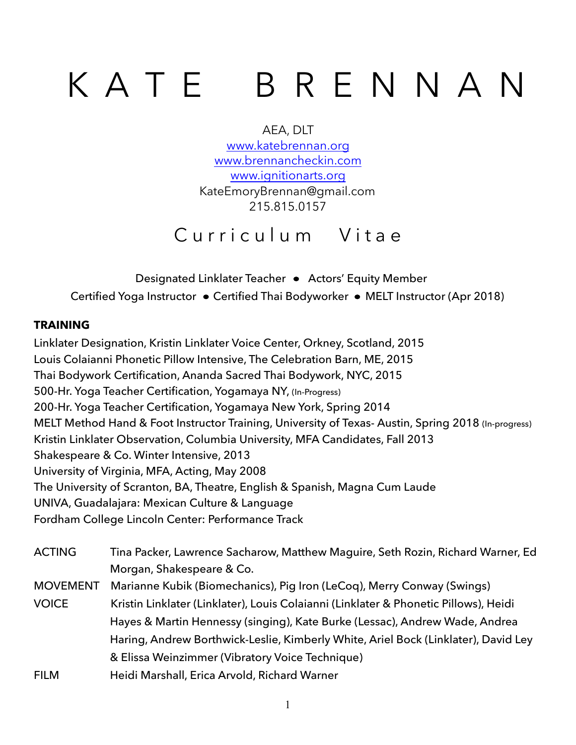# K A T E B R E N N A N

AEA, DLT [www.katebrennan.org](http://www.katebrennan.org) [www.brennancheckin.com](http://www.brennancheckin.com) [www.ignitionarts.org](http://www.ignitionarts.org) KateEmoryBrennan@gmail.com 215.815.0157

# Curriculum Vitae

Designated Linklater Teacher • Actors' Equity Member Certified Yoga Instructor • Certified Thai Bodyworker • MELT Instructor (Apr 2018)

# **TRAINING**

Linklater Designation, Kristin Linklater Voice Center, Orkney, Scotland, 2015 Louis Colaianni Phonetic Pillow Intensive, The Celebration Barn, ME, 2015 Thai Bodywork Certification, Ananda Sacred Thai Bodywork, NYC, 2015 500-Hr. Yoga Teacher Certification, Yogamaya NY, (In-Progress) 200-Hr. Yoga Teacher Certification, Yogamaya New York, Spring 2014 MELT Method Hand & Foot Instructor Training, University of Texas- Austin, Spring 2018 (In-progress) Kristin Linklater Observation, Columbia University, MFA Candidates, Fall 2013 Shakespeare & Co. Winter Intensive, 2013 University of Virginia, MFA, Acting, May 2008 The University of Scranton, BA, Theatre, English & Spanish, Magna Cum Laude UNIVA, Guadalajara: Mexican Culture & Language Fordham College Lincoln Center: Performance Track

| <b>ACTING</b>   | Tina Packer, Lawrence Sacharow, Matthew Maguire, Seth Rozin, Richard Warner, Ed      |
|-----------------|--------------------------------------------------------------------------------------|
|                 | Morgan, Shakespeare & Co.                                                            |
| <b>MOVEMENT</b> | Marianne Kubik (Biomechanics), Pig Iron (LeCoq), Merry Conway (Swings)               |
| <b>VOICE</b>    | Kristin Linklater (Linklater), Louis Colaianni (Linklater & Phonetic Pillows), Heidi |
|                 | Hayes & Martin Hennessy (singing), Kate Burke (Lessac), Andrew Wade, Andrea          |
|                 | Haring, Andrew Borthwick-Leslie, Kimberly White, Ariel Bock (Linklater), David Ley   |
|                 | & Elissa Weinzimmer (Vibratory Voice Technique)                                      |
| <b>FILM</b>     | Heidi Marshall, Erica Arvold, Richard Warner                                         |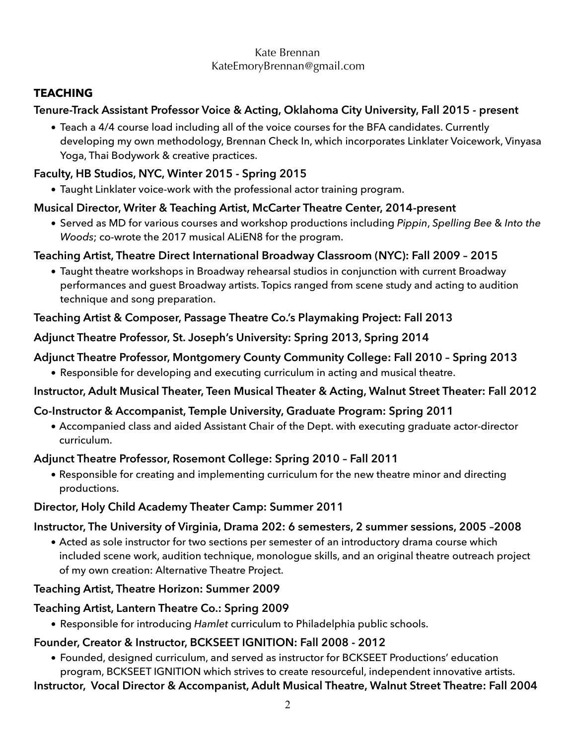# **TEACHING**

# **Tenure-Track Assistant Professor Voice & Acting, Oklahoma City University, Fall 2015 - present**

• Teach a 4/4 course load including all of the voice courses for the BFA candidates. Currently developing my own methodology, Brennan Check In, which incorporates Linklater Voicework, Vinyasa Yoga, Thai Bodywork & creative practices.

# **Faculty, HB Studios, NYC, Winter 2015 - Spring 2015**

• Taught Linklater voice-work with the professional actor training program.

# **Musical Director, Writer & Teaching Artist, McCarter Theatre Center, 2014-present**

• Served as MD for various courses and workshop productions including *Pippin*, *Spelling Bee* & *Into the Woods*; co-wrote the 2017 musical ALiEN8 for the program.

# **Teaching Artist, Theatre Direct International Broadway Classroom (NYC): Fall 2009 – 2015**

• Taught theatre workshops in Broadway rehearsal studios in conjunction with current Broadway performances and guest Broadway artists. Topics ranged from scene study and acting to audition technique and song preparation.

# **Teaching Artist & Composer, Passage Theatre Co.'s Playmaking Project: Fall 2013**

# **Adjunct Theatre Professor, St. Joseph's University: Spring 2013, Spring 2014**

# **Adjunct Theatre Professor, Montgomery County Community College: Fall 2010 – Spring 2013**

• Responsible for developing and executing curriculum in acting and musical theatre.

# **Instructor, Adult Musical Theater, Teen Musical Theater & Acting, Walnut Street Theater: Fall 2012**

# **Co-Instructor & Accompanist, Temple University, Graduate Program: Spring 2011**

• Accompanied class and aided Assistant Chair of the Dept. with executing graduate actor-director curriculum.

# **Adjunct Theatre Professor, Rosemont College: Spring 2010 – Fall 2011**

• Responsible for creating and implementing curriculum for the new theatre minor and directing productions.

# **Director, Holy Child Academy Theater Camp: Summer 2011**

# **Instructor, The University of Virginia, Drama 202: 6 semesters, 2 summer sessions, 2005 –2008**

• Acted as sole instructor for two sections per semester of an introductory drama course which included scene work, audition technique, monologue skills, and an original theatre outreach project of my own creation: Alternative Theatre Project.

# **Teaching Artist, Theatre Horizon: Summer 2009**

# **Teaching Artist, Lantern Theatre Co.: Spring 2009**

• Responsible for introducing *Hamlet* curriculum to Philadelphia public schools.

# **Founder, Creator & Instructor, BCKSEET IGNITION: Fall 2008 - 2012**

• Founded, designed curriculum, and served as instructor for BCKSEET Productions' education program, BCKSEET IGNITION which strives to create resourceful, independent innovative artists.

**Instructor, Vocal Director & Accompanist, Adult Musical Theatre, Walnut Street Theatre: Fall 2004**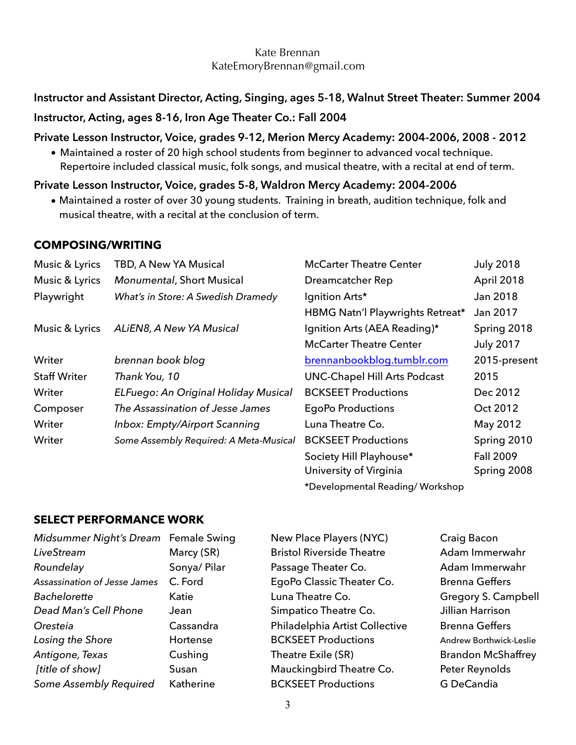# **Instructor and Assistant Director, Acting, Singing, ages 5-18, Walnut Street Theater: Summer 2004**

# **Instructor, Acting, ages 8-16, Iron Age Theater Co.: Fall 2004**

#### **Private Lesson Instructor, Voice, grades 9-12, Merion Mercy Academy: 2004-2006, 2008 - 2012**

• Maintained a roster of 20 high school students from beginner to advanced vocal technique. Repertoire included classical music, folk songs, and musical theatre, with a recital at end of term.

#### **Private Lesson Instructor, Voice, grades 5-8, Waldron Mercy Academy: 2004-2006**

• Maintained a roster of over 30 young students. Training in breath, audition technique, folk and musical theatre, with a recital at the conclusion of term.

#### **COMPOSING/WRITING**

| Music & Lyrics      | TBD, A New YA Musical                  | <b>McCarter Theatre Center</b>      | <b>July 2018</b> |
|---------------------|----------------------------------------|-------------------------------------|------------------|
| Music & Lyrics      | <b>Monumental, Short Musical</b>       | Dreamcatcher Rep                    | April 2018       |
| Playwright          | What's in Store: A Swedish Dramedy     | Ignition Arts*                      | Jan 2018         |
|                     |                                        | HBMG Natn'l Playwrights Retreat*    | Jan 2017         |
| Music & Lyrics      | ALIEN8, A New YA Musical               | Ignition Arts (AEA Reading)*        | Spring 2018      |
|                     |                                        | <b>McCarter Theatre Center</b>      | <b>July 2017</b> |
| Writer              | brennan book blog                      | brennanbookblog.tumblr.com          | 2015-present     |
| <b>Staff Writer</b> | Thank You, 10                          | <b>UNC-Chapel Hill Arts Podcast</b> | 2015             |
| Writer              | ELFuego: An Original Holiday Musical   | <b>BCKSEET Productions</b>          | Dec 2012         |
| Composer            | The Assassination of Jesse James       | <b>EgoPo Productions</b>            | Oct 2012         |
| Writer              | Inbox: Empty/Airport Scanning          | Luna Theatre Co.                    | May 2012         |
| Writer              | Some Assembly Required: A Meta-Musical | <b>BCKSEET Productions</b>          | Spring 2010      |
|                     |                                        | Society Hill Playhouse*             | <b>Fall 2009</b> |
|                     |                                        | University of Virginia              | Spring 2008      |
|                     |                                        |                                     |                  |

\*Developmental Reading/ Workshop

# **SELECT PERFORMANCE WORK**

| Midsummer Night's Dream Fema |
|------------------------------|
| Marc                         |
| Sony                         |
| C. Fc                        |
| Katie                        |
| Jean                         |
| Cass                         |
| Hort                         |
| Cush                         |
| Susa                         |
| Kath                         |
|                              |

*Midsummer Night's Dream* Female Swing New Place Players (NYC) Craig Bacon *LiveStream* Marcy (SR) Bristol Riverside Theatre Adam Immerwahr ra/ Pilar **Passage Theater Co.** Adam Immerwahr *Assassination of Jesse James* C. Ford EgoPo Classic Theater Co. Brenna Geffers Luna Theatre Co. **Bacheloret Communist Communist Communist Communist Communist Communist Communist Communist Communist Communist Communist Communist Communist Communist Communist Communist Communist Communist Communist Com Simpatico Theatre Co.** Jillian Harrison andra **Oresteia Philadelphia Artist Collective** Brenna Geffers ense **BCKSEET Productions** Andrew Borthwick-Leslie *Antigone, Theatre Exile (SR)* Brandon McShaffrey n **Example 3 Mauckingbird Theatre Co.** Peter Reynolds erine **BCKSEET Productions** G DeCandia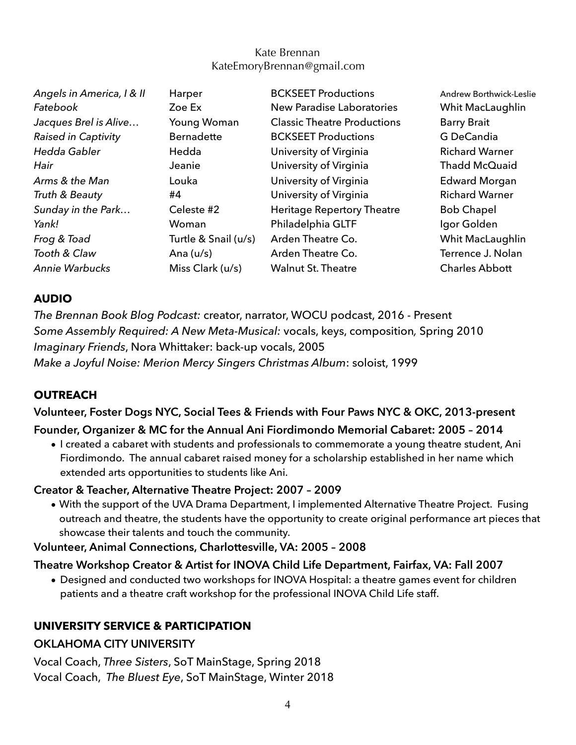| Angels in America, I & II  | Harper               | <b>BCKSEET Productions</b>         | <b>Andrew Borthwick-</b> |
|----------------------------|----------------------|------------------------------------|--------------------------|
| Fatebook                   | Zoe Ex               | <b>New Paradise Laboratories</b>   | Whit MacLaugh            |
| Jacques Brel is Alive      | Young Woman          | <b>Classic Theatre Productions</b> | <b>Barry Brait</b>       |
| <b>Raised in Captivity</b> | <b>Bernadette</b>    | <b>BCKSEET Productions</b>         | G DeCandia               |
| Hedda Gabler               | Hedda                | University of Virginia             | <b>Richard Warner</b>    |
| Hair                       | Jeanie               | University of Virginia             | Thadd McQuaid            |
| Arms & the Man             | Louka                | University of Virginia             | <b>Edward Morgar</b>     |
| Truth & Beauty             | #4                   | University of Virginia             | <b>Richard Warner</b>    |
| Sunday in the Park         | Celeste #2           | Heritage Repertory Theatre         | <b>Bob Chapel</b>        |
| Yank!                      | Woman                | Philadelphia GLTF                  | Igor Golden              |
| Frog & Toad                | Turtle & Snail (u/s) | Arden Theatre Co.                  | Whit MacLaugh            |
| Tooth & Claw               | Ana $(u/s)$          | Arden Theatre Co.                  | Terrence J. Nola         |
| Annie Warbucks             | Miss Clark (u/s)     | <b>Walnut St. Theatre</b>          | <b>Charles Abbott</b>    |

*Angels in America, I & II* Harper BCKSEET Productions Andrew Borthwick-Leslie **Whit MacLaughlin Richard Warner Thadd McQuaid Edward Morgan Richard Warner** lgor Golden **Whit MacLaughlin Terrence J. Nolan** 

#### **AUDIO**

*The Brennan Book Blog Podcast:* creator, narrator, WOCU podcast, 2016 - Present *Some Assembly Required: A New Meta-Musical:* vocals, keys, composition*,* Spring 2010 *Imaginary Friends*, Nora Whittaker: back-up vocals, 2005 *Make a Joyful Noise: Merion Mercy Singers Christmas Album*: soloist, 1999

# **OUTREACH**

**Volunteer, Foster Dogs NYC, Social Tees & Friends with Four Paws NYC & OKC, 2013-present** 

#### **Founder, Organizer & MC for the Annual Ani Fiordimondo Memorial Cabaret: 2005 – 2014**

• I created a cabaret with students and professionals to commemorate a young theatre student, Ani Fiordimondo. The annual cabaret raised money for a scholarship established in her name which extended arts opportunities to students like Ani.

#### **Creator & Teacher, Alternative Theatre Project: 2007 – 2009**

• With the support of the UVA Drama Department, I implemented Alternative Theatre Project. Fusing outreach and theatre, the students have the opportunity to create original performance art pieces that showcase their talents and touch the community.

**Volunteer, Animal Connections, Charlottesville, VA: 2005 – 2008** 

#### **Theatre Workshop Creator & Artist for INOVA Child Life Department, Fairfax, VA: Fall 2007**

• Designed and conducted two workshops for INOVA Hospital: a theatre games event for children patients and a theatre craft workshop for the professional INOVA Child Life staff.

# **UNIVERSITY SERVICE & PARTICIPATION**

#### **OKLAHOMA CITY UNIVERSITY**

Vocal Coach, *Three Sisters*, SoT MainStage, Spring 2018 Vocal Coach, *The Bluest Eye*, SoT MainStage, Winter 2018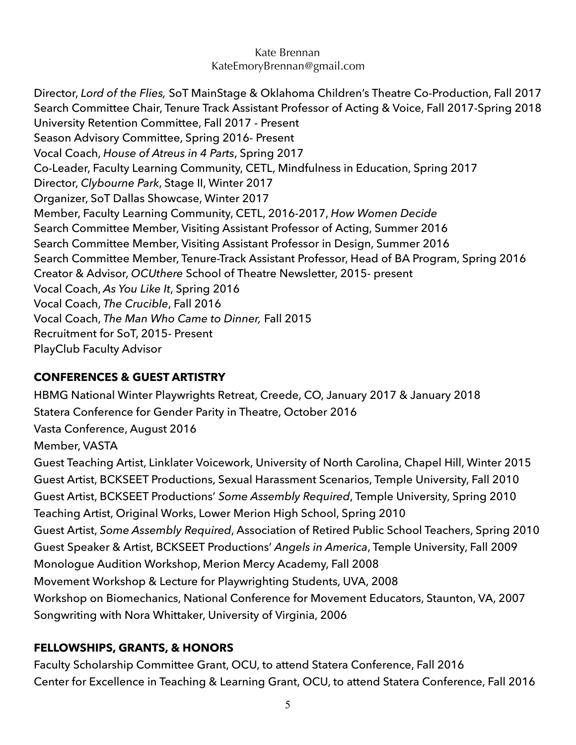Director, *Lord of the Flies,* SoT MainStage & Oklahoma Children's Theatre Co-Production, Fall 2017 Search Committee Chair, Tenure Track Assistant Professor of Acting & Voice, Fall 2017-Spring 2018 University Retention Committee, Fall 2017 - Present Season Advisory Committee, Spring 2016- Present Vocal Coach, *House of Atreus in 4 Parts*, Spring 2017 Co-Leader, Faculty Learning Community, CETL, Mindfulness in Education, Spring 2017 Director, *Clybourne Park*, Stage II, Winter 2017 Organizer, SoT Dallas Showcase, Winter 2017 Member, Faculty Learning Community, CETL, 2016-2017, *How Women Decide* Search Committee Member, Visiting Assistant Professor of Acting, Summer 2016 Search Committee Member, Visiting Assistant Professor in Design, Summer 2016 Search Committee Member, Tenure-Track Assistant Professor, Head of BA Program, Spring 2016 Creator & Advisor, *OCUthere* School of Theatre Newsletter, 2015- present Vocal Coach, *As You Like It*, Spring 2016 Vocal Coach, *The Crucible*, Fall 2016 Vocal Coach, *The Man Who Came to Dinner,* Fall 2015 Recruitment for SoT, 2015- Present PlayClub Faculty Advisor

# **CONFERENCES & GUEST ARTISTRY**

HBMG National Winter Playwrights Retreat, Creede, CO, January 2017 & January 2018 Statera Conference for Gender Parity in Theatre, October 2016 Vasta Conference, August 2016 Member, VASTA Guest Teaching Artist, Linklater Voicework, University of North Carolina, Chapel Hill, Winter 2015 Guest Artist, BCKSEET Productions, Sexual Harassment Scenarios, Temple University, Fall 2010 Guest Artist, BCKSEET Productions' *Some Assembly Required*, Temple University, Spring 2010 Teaching Artist, Original Works, Lower Merion High School, Spring 2010 Guest Artist, *Some Assembly Required*, Association of Retired Public School Teachers, Spring 2010 Guest Speaker & Artist, BCKSEET Productions' *Angels in America*, Temple University, Fall 2009 Monologue Audition Workshop, Merion Mercy Academy, Fall 2008 Movement Workshop & Lecture for Playwrighting Students, UVA, 2008 Workshop on Biomechanics, National Conference for Movement Educators, Staunton, VA, 2007 Songwriting with Nora Whittaker, University of Virginia, 2006

# **FELLOWSHIPS, GRANTS, & HONORS**

Faculty Scholarship Committee Grant, OCU, to attend Statera Conference, Fall 2016 Center for Excellence in Teaching & Learning Grant, OCU, to attend Statera Conference, Fall 2016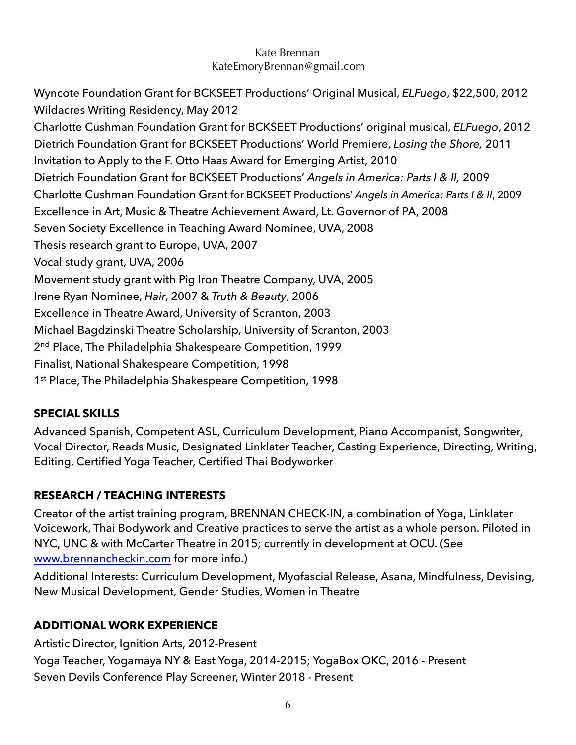Wyncote Foundation Grant for BCKSEET Productions' Original Musical, *ELFuego*, \$22,500, 2012 Wildacres Writing Residency, May 2012 Charlotte Cushman Foundation Grant for BCKSEET Productions' original musical, *ELFuego*, 2012 Dietrich Foundation Grant for BCKSEET Productions' World Premiere, *Losing the Shore,* 2011 Invitation to Apply to the F. Otto Haas Award for Emerging Artist, 2010 Dietrich Foundation Grant for BCKSEET Productions' *Angels in America: Parts I & II,* 2009 Charlotte Cushman Foundation Grant for BCKSEET Productions' *Angels in America: Parts I & II*, 2009 Excellence in Art, Music & Theatre Achievement Award, Lt. Governor of PA, 2008 Seven Society Excellence in Teaching Award Nominee, UVA, 2008 Thesis research grant to Europe, UVA, 2007 Vocal study grant, UVA, 2006 Movement study grant with Pig Iron Theatre Company, UVA, 2005 Irene Ryan Nominee, *Hair*, 2007 & *Truth & Beauty*, 2006 Excellence in Theatre Award, University of Scranton, 2003 Michael Bagdzinski Theatre Scholarship, University of Scranton, 2003 2<sup>nd</sup> Place, The Philadelphia Shakespeare Competition, 1999 Finalist, National Shakespeare Competition, 1998 1<sup>st</sup> Place, The Philadelphia Shakespeare Competition, 1998

# **SPECIAL SKILLS**

Advanced Spanish, Competent ASL, Curriculum Development, Piano Accompanist, Songwriter, Vocal Director, Reads Music, Designated Linklater Teacher, Casting Experience, Directing, Writing, Editing, Certified Yoga Teacher, Certified Thai Bodyworker

# **RESEARCH / TEACHING INTERESTS**

Creator of the artist training program, BRENNAN CHECK-IN, a combination of Yoga, Linklater Voicework, Thai Bodywork and Creative practices to serve the artist as a whole person. Piloted in NYC, UNC & with McCarter Theatre in 2015; currently in development at OCU. (See [www.brennancheckin.com](http://www.brennancheckin.com) for more info.)

Additional Interests: Curriculum Development, Myofascial Release, Asana, Mindfulness, Devising, New Musical Development, Gender Studies, Women in Theatre

# **ADDITIONAL WORK EXPERIENCE**

Artistic Director, Ignition Arts, 2012-Present Yoga Teacher, Yogamaya NY & East Yoga, 2014-2015; YogaBox OKC, 2016 - Present Seven Devils Conference Play Screener, Winter 2018 - Present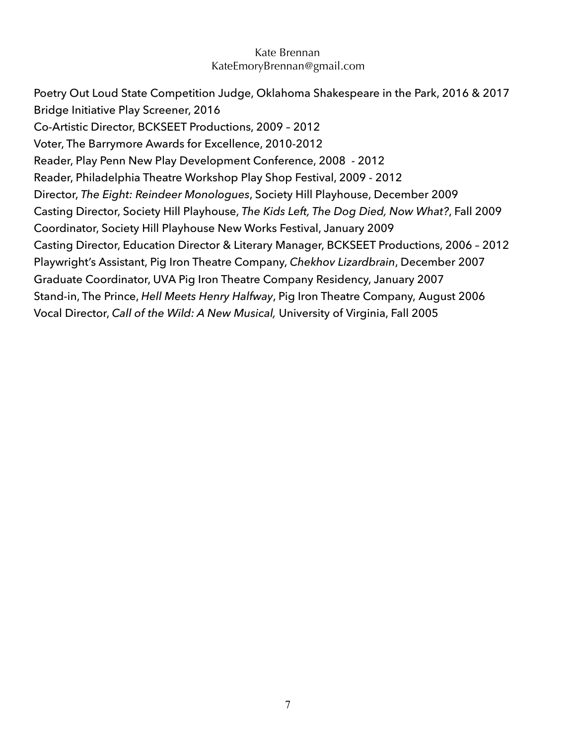Poetry Out Loud State Competition Judge, Oklahoma Shakespeare in the Park, 2016 & 2017 Bridge Initiative Play Screener, 2016 Co-Artistic Director, BCKSEET Productions, 2009 – 2012 Voter, The Barrymore Awards for Excellence, 2010-2012 Reader, Play Penn New Play Development Conference, 2008 - 2012 Reader, Philadelphia Theatre Workshop Play Shop Festival, 2009 - 2012 Director, *The Eight: Reindeer Monologues*, Society Hill Playhouse, December 2009 Casting Director, Society Hill Playhouse, *The Kids Left, The Dog Died, Now What?*, Fall 2009 Coordinator, Society Hill Playhouse New Works Festival, January 2009 Casting Director, Education Director & Literary Manager, BCKSEET Productions, 2006 – 2012 Playwright's Assistant, Pig Iron Theatre Company, *Chekhov Lizardbrain*, December 2007 Graduate Coordinator, UVA Pig Iron Theatre Company Residency, January 2007 Stand-in, The Prince, *Hell Meets Henry Halfway*, Pig Iron Theatre Company, August 2006 Vocal Director, *Call of the Wild: A New Musical,* University of Virginia, Fall 2005